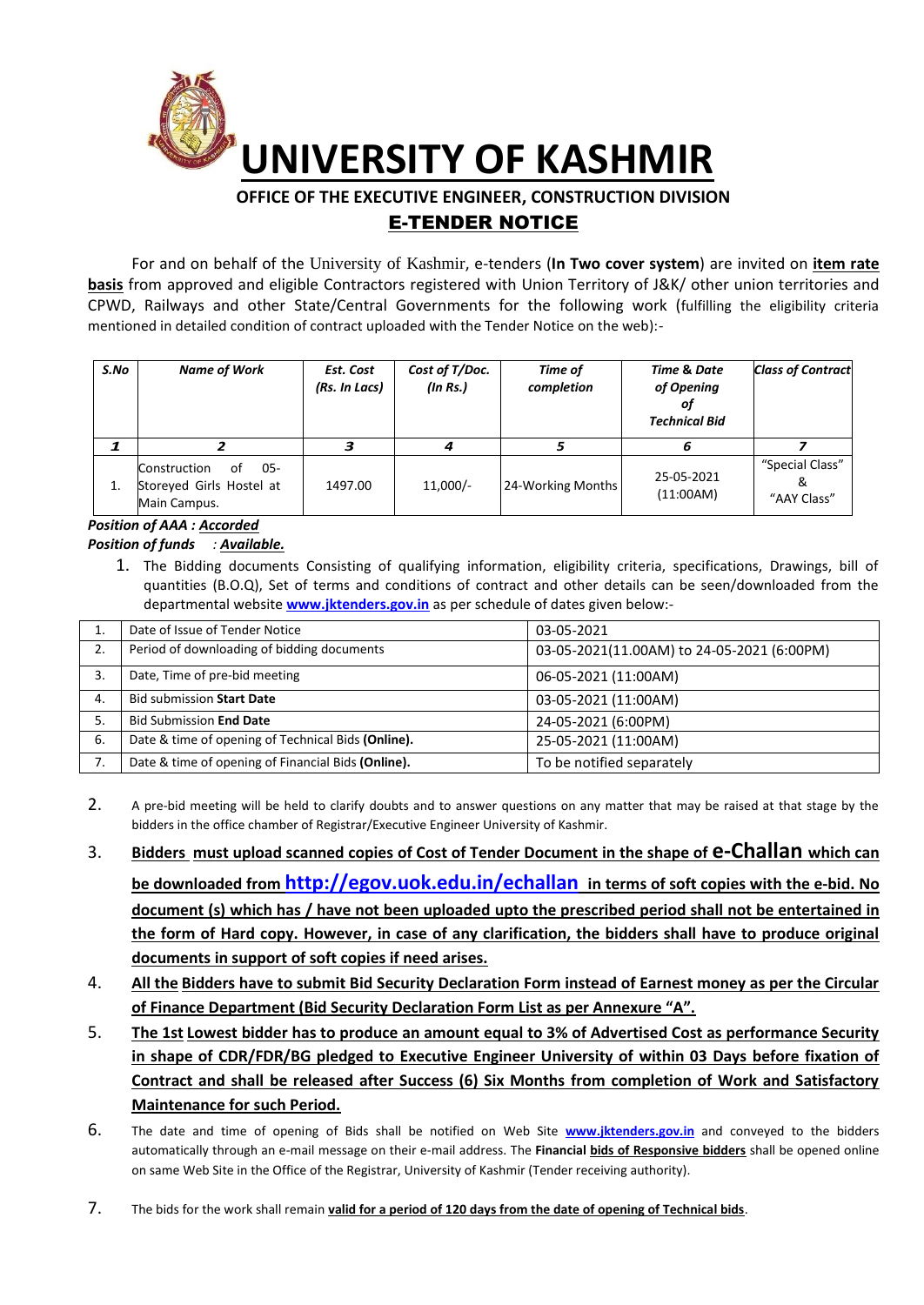

# **OFFICE OF THE EXECUTIVE ENGINEER, CONSTRUCTION DIVISION**  E-TENDER NOTICE

For and on behalf of the University of Kashmir, e-tenders (**In Two cover system**) are invited on **item rate basis** from approved and eligible Contractors registered with Union Territory of J&K/ other union territories and CPWD, Railways and other State/Central Governments for the following work (fulfilling the eligibility criteria mentioned in detailed condition of contract uploaded with the Tender Notice on the web):-

| S.No | <b>Name of Work</b>                                                   | Est. Cost<br>(Rs. In Lacs) | Cost of T/Doc.<br>$($ ln Rs. $)$ | <b>Time of</b><br>completion | Time & Date<br>of Opening<br>οt<br><b>Technical Bid</b> | <b>Class of Contract</b>            |
|------|-----------------------------------------------------------------------|----------------------------|----------------------------------|------------------------------|---------------------------------------------------------|-------------------------------------|
|      |                                                                       |                            |                                  |                              | 6                                                       |                                     |
| 1.   | 05-<br>Construction<br>of<br>Storeyed Girls Hostel at<br>Main Campus. | 1497.00                    | $11,000/-$                       | 24-Working Months            | 25-05-2021<br>(11:00AM)                                 | "Special Class"<br>&<br>"AAY Class" |

#### *Position of AAA : Accorded Position of funds : Available.*

1. The Bidding documents Consisting of qualifying information, eligibility criteria, specifications, Drawings, bill of quantities (B.O.Q), Set of terms and conditions of contract and other details can be seen/downloaded from the departmental website **[www.jktenders.gov.in](http://www.pmgsytendersjk.gov.in/)** as per schedule of dates given below:-

|    | Date of Issue of Tender Notice                     | 03-05-2021                                 |  |
|----|----------------------------------------------------|--------------------------------------------|--|
| 2. | Period of downloading of bidding documents         | 03-05-2021(11.00AM) to 24-05-2021 (6:00PM) |  |
| 3. | Date, Time of pre-bid meeting                      | 06-05-2021 (11:00AM)                       |  |
| 4. | <b>Bid submission Start Date</b>                   | 03-05-2021 (11:00AM)                       |  |
| 5. | <b>Bid Submission End Date</b>                     | 24-05-2021 (6:00PM)                        |  |
| 6. | Date & time of opening of Technical Bids (Online). | 25-05-2021 (11:00AM)                       |  |
|    | Date & time of opening of Financial Bids (Online). | To be notified separately                  |  |

- 2. A pre-bid meeting will be held to clarify doubts and to answer questions on any matter that may be raised at that stage by the bidders in the office chamber of Registrar/Executive Engineer University of Kashmir.
- 3. **Bidders must upload scanned copies of Cost of Tender Document in the shape of e-Challan which can**

**be downloaded from <http://egov.uok.edu.in/echallan> in terms of soft copies with the e-bid. No document (s) which has / have not been uploaded upto the prescribed period shall not be entertained in the form of Hard copy. However, in case of any clarification, the bidders shall have to produce original documents in support of soft copies if need arises.**

- 4. **All the Bidders have to submit Bid Security Declaration Form instead of Earnest money as per the Circular of Finance Department (Bid Security Declaration Form List as per Annexure "A".**
- 5. **The 1st Lowest bidder has to produce an amount equal to 3% of Advertised Cost as performance Security in shape of CDR/FDR/BG pledged to Executive Engineer University of within 03 Days before fixation of Contract and shall be released after Success (6) Six Months from completion of Work and Satisfactory Maintenance for such Period.**
- 6. The date and time of opening of Bids shall be notified on Web Site **[www.jktenders.gov.in](http://www.pmgsytendersjk.gov.in/)** and conveyed to the bidders automatically through an e-mail message on their e-mail address. The **Financial bids of Responsive bidders** shall be opened online on same Web Site in the Office of the Registrar, University of Kashmir (Tender receiving authority).
- 7. The bids for the work shall remain **valid for a period of 120 days from the date of opening of Technical bids**.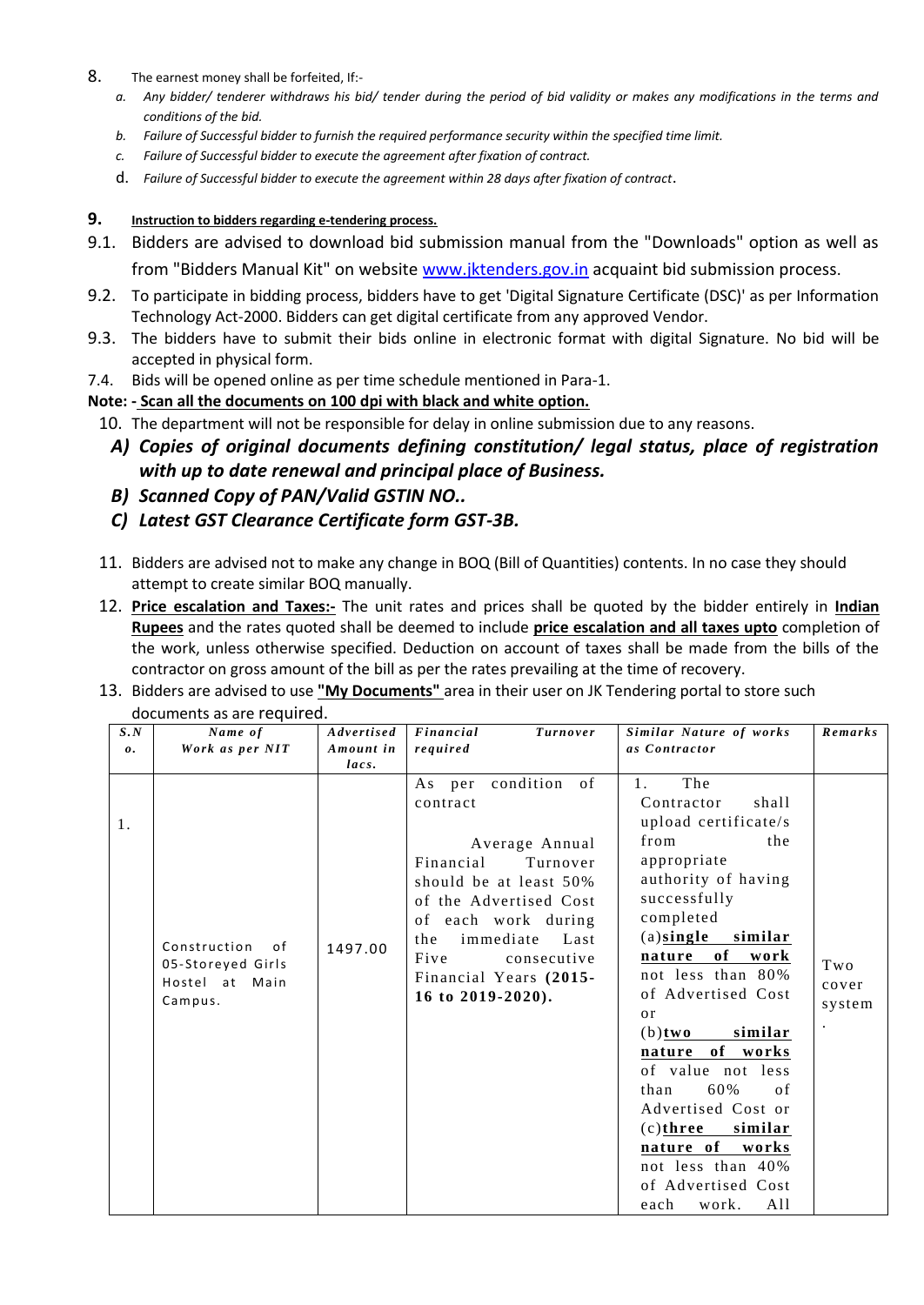- 8. The earnest money shall be forfeited, If:
	- *a. Any bidder/ tenderer withdraws his bid/ tender during the period of bid validity or makes any modifications in the terms and conditions of the bid.*
	- *b. Failure of Successful bidder to furnish the required performance security within the specified time limit.*
	- *c. Failure of Successful bidder to execute the agreement after fixation of contract.*
	- d. *Failure of Successful bidder to execute the agreement within 28 days after fixation of contract*.

## **9. Instruction to bidders regarding e-tendering process.**

- 9.1. Bidders are advised to download bid submission manual from the "Downloads" option as well as from "Bidders Manual Kit" on website [www.jktenders.gov.in](http://www.jktenders.gov.in/) acquaint bid submission process.
- 9.2. To participate in bidding process, bidders have to get 'Digital Signature Certificate (DSC)' as per Information Technology Act-2000. Bidders can get digital certificate from any approved Vendor.
- 9.3. The bidders have to submit their bids online in electronic format with digital Signature. No bid will be accepted in physical form.
- 7.4. Bids will be opened online as per time schedule mentioned in Para-1.
- **Note: - Scan all the documents on 100 dpi with black and white option.**
- 10. The department will not be responsible for delay in online submission due to any reasons.
	- *A) Copies of original documents defining constitution/ legal status, place of registration with up to date renewal and principal place of Business.*
	- *B) Scanned Copy of PAN/Valid GSTIN NO..*
	- *C) Latest GST Clearance Certificate form GST-3B.*
- 11. Bidders are advised not to make any change in BOQ (Bill of Quantities) contents. In no case they should attempt to create similar BOQ manually.
- 12. **Price escalation and Taxes:-** The unit rates and prices shall be quoted by the bidder entirely in **Indian Rupees** and the rates quoted shall be deemed to include **price escalation and all taxes upto** completion of the work, unless otherwise specified. Deduction on account of taxes shall be made from the bills of the contractor on gross amount of the bill as per the rates prevailing at the time of recovery.
- 13. Bidders are advised to use **"My Documents"** area in their user on JK Tendering portal to store such documents as are required.

| S.N<br>$\boldsymbol{\theta}$ . | Name of<br>Work as per NIT                                           | Advertised<br>Amount in | Financial<br>Turnover<br>required                                                                                                                                                                                                                                         | Similar Nature of works<br>as Contractor                                                                                                                                                                                                                                                                                                                                                                                                                                          | Remarks                |
|--------------------------------|----------------------------------------------------------------------|-------------------------|---------------------------------------------------------------------------------------------------------------------------------------------------------------------------------------------------------------------------------------------------------------------------|-----------------------------------------------------------------------------------------------------------------------------------------------------------------------------------------------------------------------------------------------------------------------------------------------------------------------------------------------------------------------------------------------------------------------------------------------------------------------------------|------------------------|
| 1.                             | Construction<br>0f<br>05-Storeyed Girls<br>Hostel at Main<br>Campus. | lacs.<br>1497.00        | condition<br>$\circ$ of<br>As per<br>contract<br>Average Annual<br>Financial<br>Turnover<br>should be at least 50%<br>of the Advertised Cost<br>of each work during<br>immediate<br>Last<br>the<br>Five<br>consecutive<br>Financial Years (2015-<br>16 to $2019 - 2020$ . | The<br>1.<br>Contractor<br>shall<br>upload certificate/s<br>from<br>the<br>appropriate<br>authority of having<br>successfully<br>completed<br>$(a)$ single similar<br>of<br>nature<br>work<br>not less than 80%<br>of Advertised Cost<br>$\alpha$ r<br>similar<br>$(b)$ two<br>nature of works<br>of value not less<br>60%<br>than<br>of<br>Advertised Cost or<br>$(c)$ three<br>similar<br>nature of<br>works<br>not less than 40%<br>of Advertised Cost<br>A11<br>each<br>work. | Two<br>cover<br>system |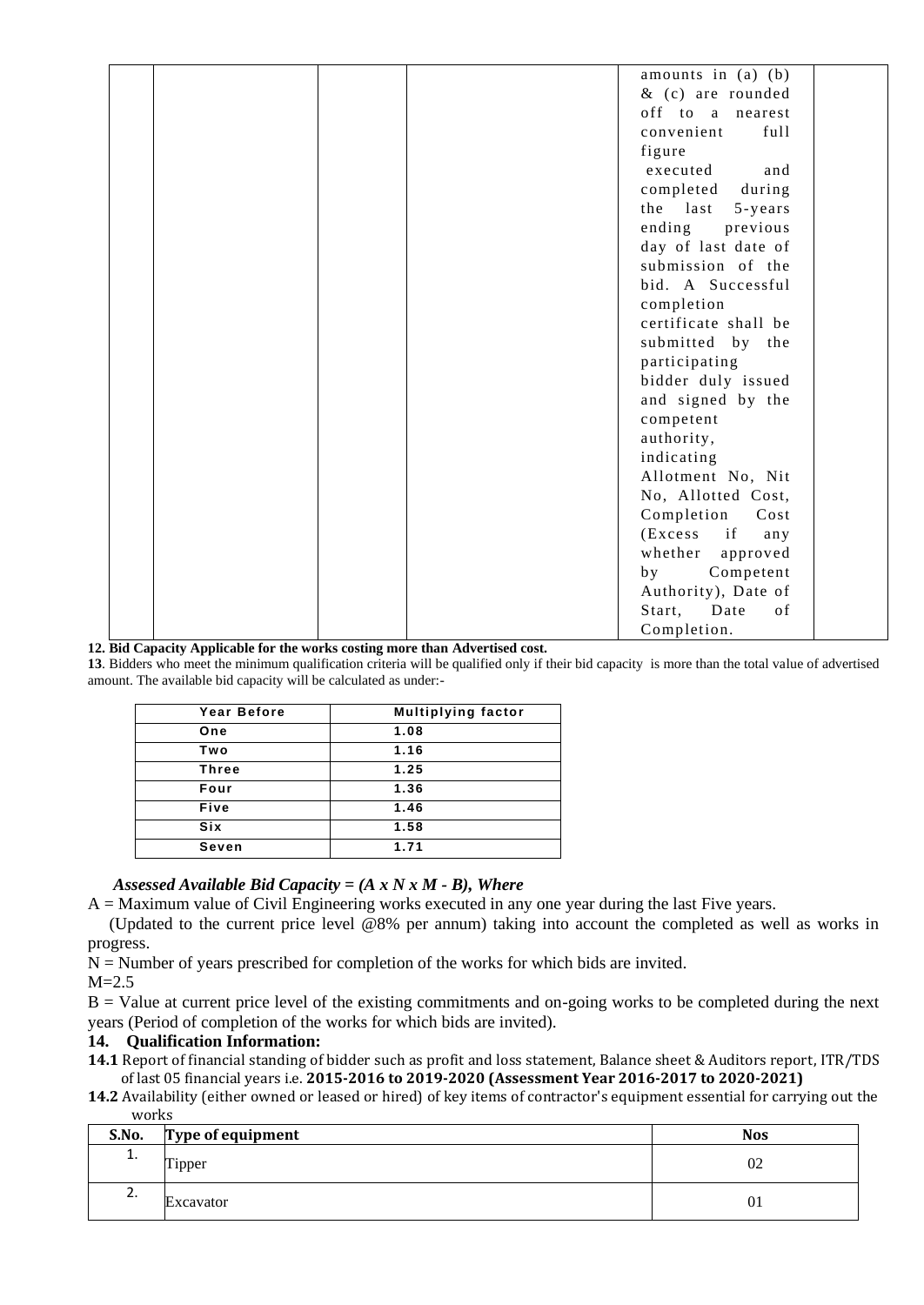|  |  | amounts in $(a)$ $(b)$ |  |
|--|--|------------------------|--|
|  |  | $&$ (c) are rounded    |  |
|  |  | off to a nearest       |  |
|  |  | convenient<br>full     |  |
|  |  | figure                 |  |
|  |  | and                    |  |
|  |  | executed               |  |
|  |  | completed<br>during    |  |
|  |  | the last<br>5-years    |  |
|  |  | ending<br>previous     |  |
|  |  | day of last date of    |  |
|  |  | submission of the      |  |
|  |  | bid. A Successful      |  |
|  |  | completion             |  |
|  |  | certificate shall be   |  |
|  |  | submitted by the       |  |
|  |  | participating          |  |
|  |  | bidder duly issued     |  |
|  |  | and signed by the      |  |
|  |  | competent              |  |
|  |  | authority,             |  |
|  |  | indicating             |  |
|  |  | Allotment No, Nit      |  |
|  |  | No, Allotted Cost,     |  |
|  |  | Completion<br>Cost     |  |
|  |  | $(Excess$ if<br>any    |  |
|  |  | whether<br>approved    |  |
|  |  | Competent<br>by        |  |
|  |  | Authority), Date of    |  |
|  |  | Start,<br>Date<br>of   |  |
|  |  | Completion.            |  |
|  |  |                        |  |

#### **12. Bid Capacity Applicable for the works costing more than Advertised cost.**

**13**. Bidders who meet the minimum qualification criteria will be qualified only if their bid capacity is more than the total value of advertised amount. The available bid capacity will be calculated as under:-

| Year Before  | <b>Multiplying factor</b> |
|--------------|---------------------------|
| One          | 1.08                      |
| Two          | 1.16                      |
| <b>Three</b> | 1.25                      |
| Four         | 1.36                      |
| Five         | 1.46                      |
| Six          | 1.58                      |
| Seven        | 1.71                      |

#### *Assessed Available Bid Capacity = (A x N x M - B), Where*

A = Maximum value of Civil Engineering works executed in any one year during the last Five years.

 (Updated to the current price level @8% per annum) taking into account the completed as well as works in progress.

 $N =$  Number of years prescribed for completion of the works for which bids are invited.

 $M=2.5$ 

 $B =$  Value at current price level of the existing commitments and on-going works to be completed during the next years (Period of completion of the works for which bids are invited).

#### **14. Qualification Information:**

**14.1** Report of financial standing of bidder such as profit and loss statement, Balance sheet & Auditors report, ITR/TDS of last 05 financial years i.e. **2015-2016 to 2019-2020 (Assessment Year 2016-2017 to 2020-2021)**

**14.2** Availability (either owned or leased or hired) of key items of contractor's equipment essential for carrying out the works

| S.No.    | Type of equipment | <b>Nos</b> |
|----------|-------------------|------------|
| <b>.</b> | Tipper            | 02         |
| z.       | Excavator         | 01         |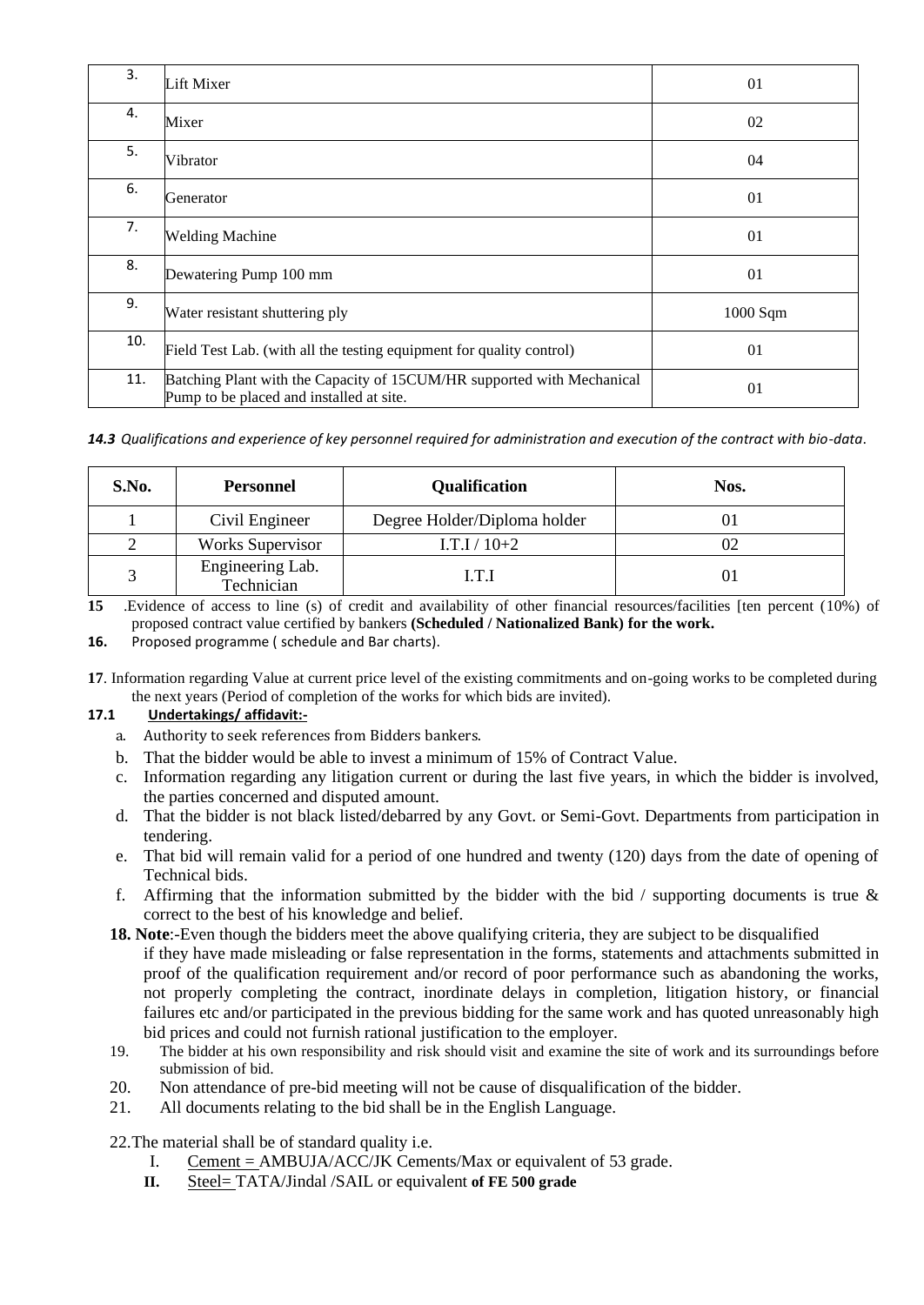| 3.  | Lift Mixer                                                                                                         | 01       |
|-----|--------------------------------------------------------------------------------------------------------------------|----------|
| 4.  | Mixer                                                                                                              | 02       |
| 5.  | Vibrator                                                                                                           | 04       |
| 6.  | Generator                                                                                                          | 01       |
| 7.  | <b>Welding Machine</b>                                                                                             | 01       |
| 8.  | Dewatering Pump 100 mm                                                                                             | 01       |
| 9.  | Water resistant shuttering ply                                                                                     | 1000 Sqm |
| 10. | Field Test Lab. (with all the testing equipment for quality control)                                               | 01       |
| 11. | Batching Plant with the Capacity of 15CUM/HR supported with Mechanical<br>Pump to be placed and installed at site. | 01       |

*14.3 Qualifications and experience of key personnel required for administration and execution of the contract with bio-data*.

| S.No. | <b>Personnel</b>               | <b>Qualification</b>         | Nos. |
|-------|--------------------------------|------------------------------|------|
|       | Civil Engineer                 | Degree Holder/Diploma holder |      |
|       | <b>Works Supervisor</b>        | $I.T.I/10+2$                 |      |
|       | Engineering Lab.<br>Technician | LT.I                         | O l  |

**15** .Evidence of access to line (s) of credit and availability of other financial resources/facilities [ten percent (10%) of proposed contract value certified by bankers **(Scheduled / Nationalized Bank) for the work.**

**16.** Proposed programme ( schedule and Bar charts).

**17**. Information regarding Value at current price level of the existing commitments and on-going works to be completed during the next years (Period of completion of the works for which bids are invited).

#### **17.1 Undertakings/ affidavit:-**

- a. Authority to seek references from Bidders bankers.
- b. That the bidder would be able to invest a minimum of 15% of Contract Value.
- c. Information regarding any litigation current or during the last five years, in which the bidder is involved, the parties concerned and disputed amount.
- d. That the bidder is not black listed/debarred by any Govt. or Semi-Govt. Departments from participation in tendering.
- e. That bid will remain valid for a period of one hundred and twenty (120) days from the date of opening of Technical bids.
- f. Affirming that the information submitted by the bidder with the bid  $\ell$  supporting documents is true  $\&$ correct to the best of his knowledge and belief.
- **18. Note**:-Even though the bidders meet the above qualifying criteria, they are subject to be disqualified if they have made misleading or false representation in the forms, statements and attachments submitted in proof of the qualification requirement and/or record of poor performance such as abandoning the works, not properly completing the contract, inordinate delays in completion, litigation history, or financial failures etc and/or participated in the previous bidding for the same work and has quoted unreasonably high bid prices and could not furnish rational justification to the employer.
- 19. The bidder at his own responsibility and risk should visit and examine the site of work and its surroundings before submission of bid.
- 20. Non attendance of pre-bid meeting will not be cause of disqualification of the bidder.
- 21. All documents relating to the bid shall be in the English Language.

22.The material shall be of standard quality i.e.

- I. Cement = AMBUJA/ACC/JK Cements/Max or equivalent of 53 grade.
- **II.** Steel= TATA/Jindal /SAIL or equivalent **of FE 500 grade**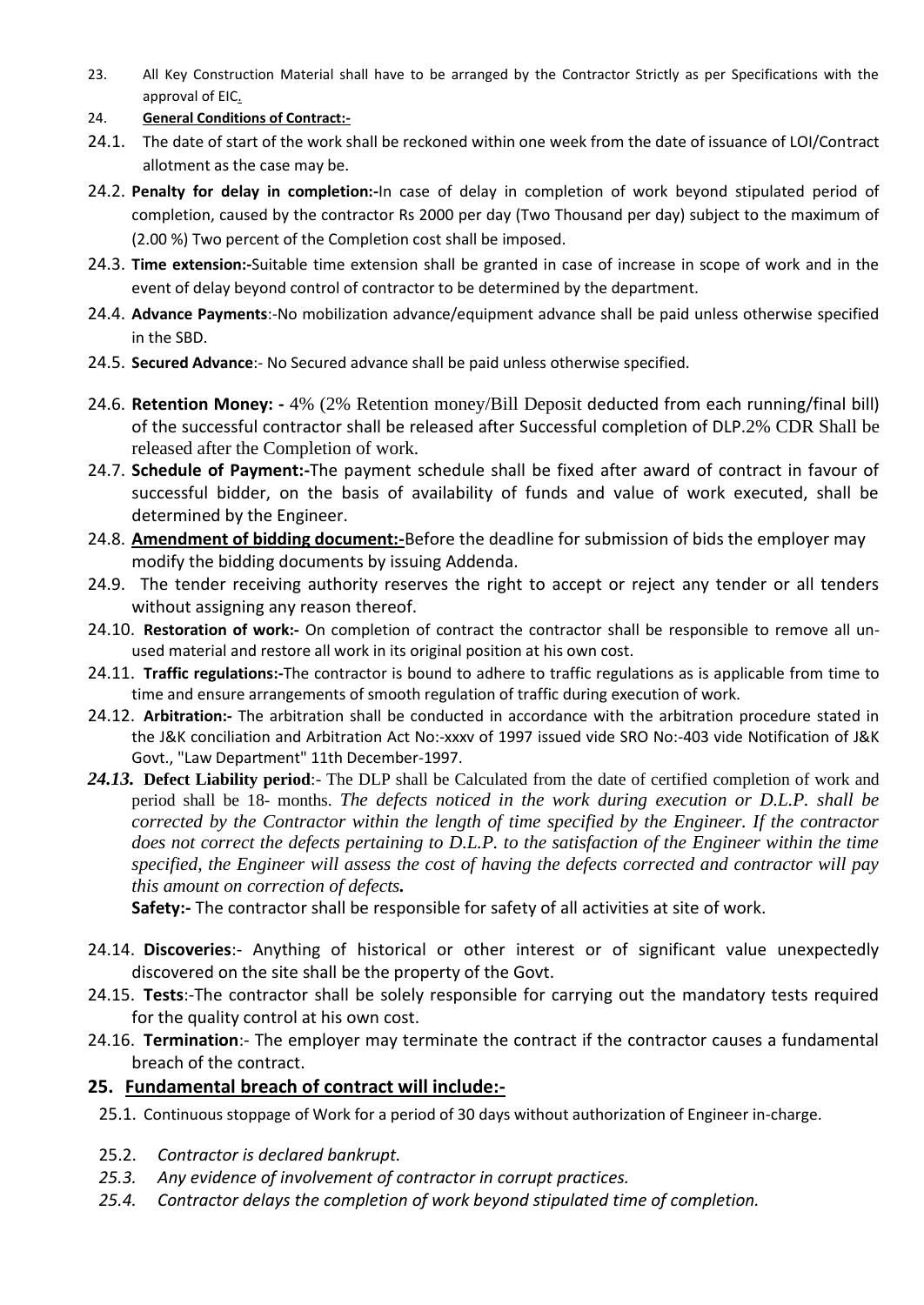23. All Key Construction Material shall have to be arranged by the Contractor Strictly as per Specifications with the approval of EIC.

## 24. **General Conditions of Contract:-**

- 24.1. The date of start of the work shall be reckoned within one week from the date of issuance of LOI/Contract allotment as the case may be.
- 24.2. **Penalty for delay in completion:-**In case of delay in completion of work beyond stipulated period of completion, caused by the contractor Rs 2000 per day (Two Thousand per day) subject to the maximum of (2.00 %) Two percent of the Completion cost shall be imposed.
- 24.3. **Time extension:-**Suitable time extension shall be granted in case of increase in scope of work and in the event of delay beyond control of contractor to be determined by the department.
- 24.4. **Advance Payments**:-No mobilization advance/equipment advance shall be paid unless otherwise specified in the SBD.
- 24.5. **Secured Advance**:- No Secured advance shall be paid unless otherwise specified.
- 24.6. **Retention Money: -** 4% (2% Retention money/Bill Deposit deducted from each running/final bill) of the successful contractor shall be released after Successful completion of DLP.2% CDR Shall be released after the Completion of work.
- 24.7. **Schedule of Payment:-**The payment schedule shall be fixed after award of contract in favour of successful bidder, on the basis of availability of funds and value of work executed, shall be determined by the Engineer.
- 24.8. **Amendment of bidding document:-**Before the deadline for submission of bids the employer may modify the bidding documents by issuing Addenda.
- 24.9. The tender receiving authority reserves the right to accept or reject any tender or all tenders without assigning any reason thereof.
- 24.10. **Restoration of work:-** On completion of contract the contractor shall be responsible to remove all unused material and restore all work in its original position at his own cost.
- 24.11. **Traffic regulations:-**The contractor is bound to adhere to traffic regulations as is applicable from time to time and ensure arrangements of smooth regulation of traffic during execution of work.
- 24.12. **Arbitration:-** The arbitration shall be conducted in accordance with the arbitration procedure stated in the J&K conciliation and Arbitration Act No:-xxxv of 1997 issued vide SRO No:-403 vide Notification of J&K Govt., "Law Department" 11th December-1997.
- *24.13.* **Defect Liability period**:- The DLP shall be Calculated from the date of certified completion of work and period shall be 18- months. *The defects noticed in the work during execution or D.L.P. shall be corrected by the Contractor within the length of time specified by the Engineer. If the contractor does not correct the defects pertaining to D.L.P. to the satisfaction of the Engineer within the time specified, the Engineer will assess the cost of having the defects corrected and contractor will pay this amount on correction of defects.*

**Safety:-** The contractor shall be responsible for safety of all activities at site of work.

- 24.14. **Discoveries**:- Anything of historical or other interest or of significant value unexpectedly discovered on the site shall be the property of the Govt.
- 24.15. **Tests**:-The contractor shall be solely responsible for carrying out the mandatory tests required for the quality control at his own cost.
- 24.16. **Termination**:- The employer may terminate the contract if the contractor causes a fundamental breach of the contract.

# **25. Fundamental breach of contract will include:-**

- 25.1. Continuous stoppage of Work for a period of 30 days without authorization of Engineer in-charge.
- 25.2. *Contractor is declared bankrupt.*
- *25.3. Any evidence of involvement of contractor in corrupt practices.*
- *25.4. Contractor delays the completion of work beyond stipulated time of completion.*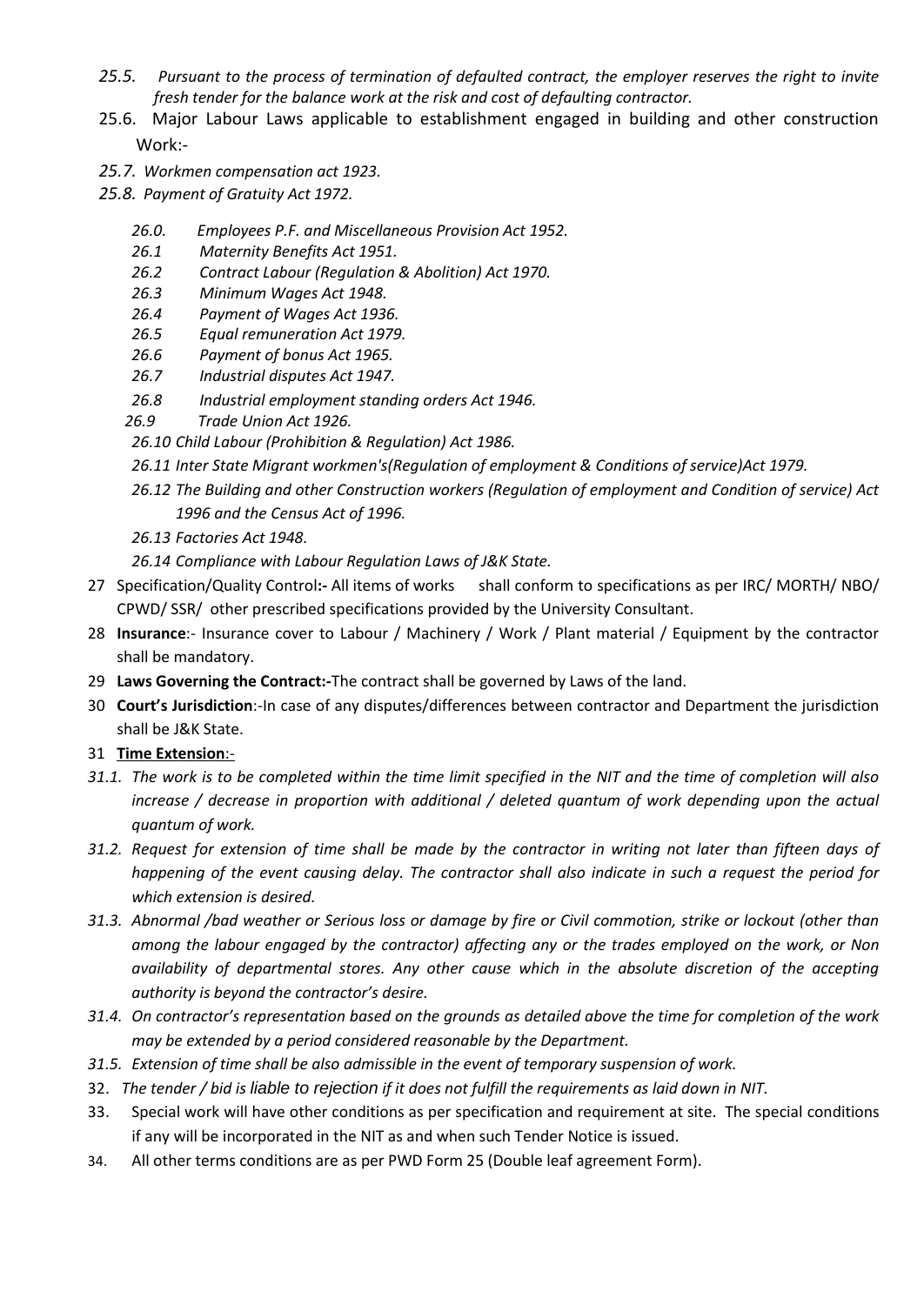- *25.5. Pursuant to the process of termination of defaulted contract, the employer reserves the right to invite fresh tender for the balance work at the risk and cost of defaulting contractor.*
- 25.6. Major Labour Laws applicable to establishment engaged in building and other construction Work:-
- *25.7. Workmen compensation act 1923.*
- *25.8. Payment of Gratuity Act 1972.* 
	- *26.0. Employees P.F. and Miscellaneous Provision Act 1952.*
	- *26.1 Maternity Benefits Act 1951.*
	- *26.2 Contract Labour (Regulation & Abolition) Act 1970.*
	- *26.3 Minimum Wages Act 1948.*
	- *26.4 Payment of Wages Act 1936.*
	- *26.5 Equal remuneration Act 1979.*
	- *26.6 Payment of bonus Act 1965.*
	- *26.7 Industrial disputes Act 1947.*
	- *26.8 Industrial employment standing orders Act 1946.*
	- *26.9 Trade Union Act 1926.*
	- *26.10 Child Labour (Prohibition & Regulation) Act 1986.*
	- *26.11 Inter State Migrant workmen's(Regulation of employment & Conditions of service)Act 1979.*
	- *26.12 The Building and other Construction workers (Regulation of employment and Condition of service) Act 1996 and the Census Act of 1996.*
	- *26.13 Factories Act 1948.*
	- *26.14 Compliance with Labour Regulation Laws of J&K State.*
- 27 Specification/Quality Control**:-** All items of works shall conform to specifications as per IRC/ MORTH/ NBO/ CPWD/ SSR/ other prescribed specifications provided by the University Consultant.
- 28 **Insurance**:- Insurance cover to Labour / Machinery / Work / Plant material / Equipment by the contractor shall be mandatory.
- 29 **Laws Governing the Contract:-**The contract shall be governed by Laws of the land.
- 30 **Court's Jurisdiction**:-In case of any disputes/differences between contractor and Department the jurisdiction shall be J&K State.
- 31 **Time Extension**:-
- *31.1. The work is to be completed within the time limit specified in the NIT and the time of completion will also increase / decrease in proportion with additional / deleted quantum of work depending upon the actual quantum of work.*
- *31.2. Request for extension of time shall be made by the contractor in writing not later than fifteen days of happening of the event causing delay. The contractor shall also indicate in such a request the period for which extension is desired.*
- *31.3. Abnormal /bad weather or Serious loss or damage by fire or Civil commotion, strike or lockout (other than among the labour engaged by the contractor) affecting any or the trades employed on the work, or Non availability of departmental stores. Any other cause which in the absolute discretion of the accepting authority is beyond the contractor's desire.*
- *31.4. On contractor's representation based on the grounds as detailed above the time for completion of the work may be extended by a period considered reasonable by the Department.*
- *31.5. Extension of time shall be also admissible in the event of temporary suspension of work.*
- 32. *The tender / bid is liable to rejection if it does not fulfill the requirements as laid down in NIT.*
- 33. Special work will have other conditions as per specification and requirement at site. The special conditions if any will be incorporated in the NIT as and when such Tender Notice is issued.
- 34. All other terms conditions are as per PWD Form 25 (Double leaf agreement Form).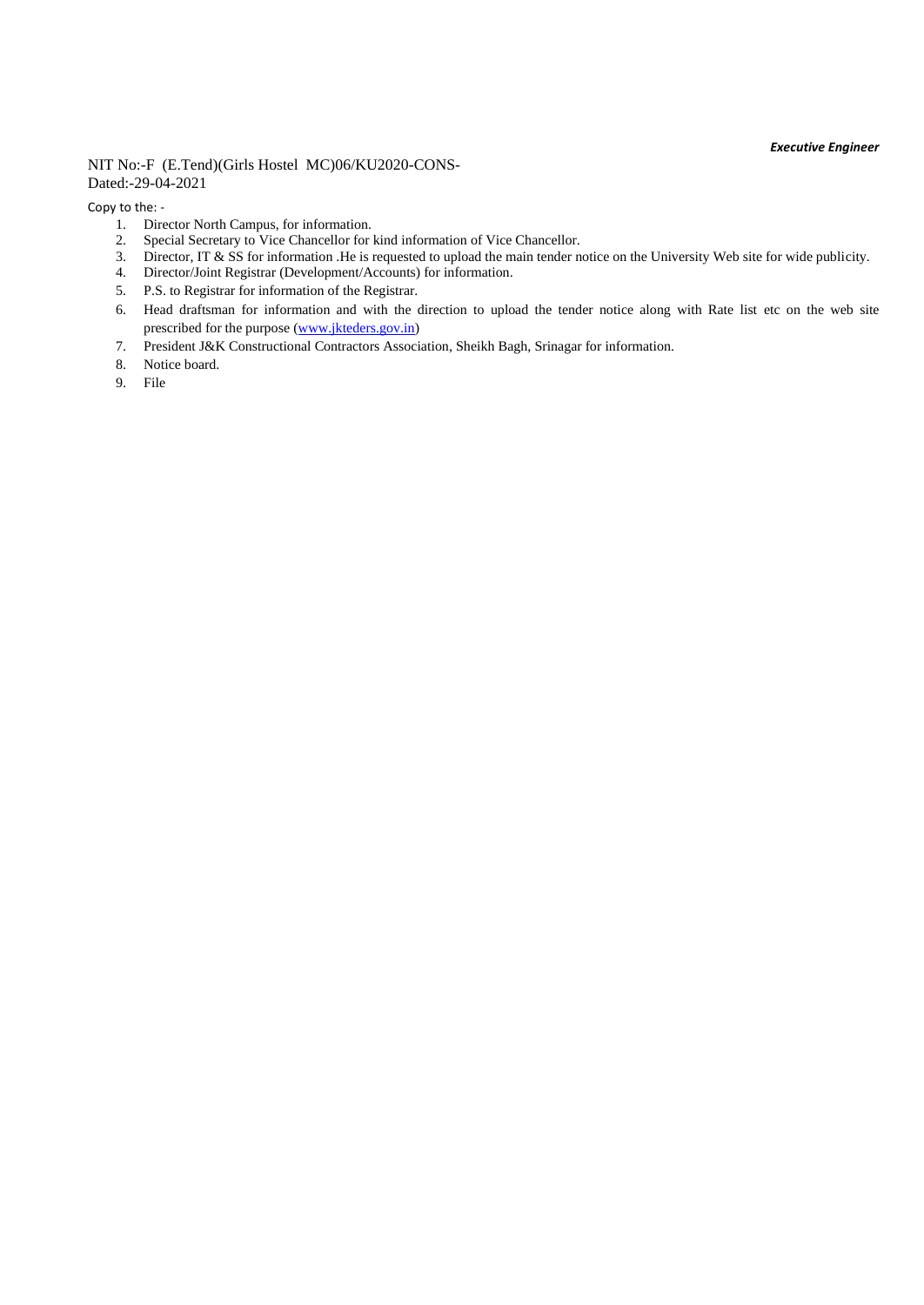#### NIT No:-F (E.Tend)(Girls Hostel MC)06/KU2020-CONS-Dated:-29-04-2021

Copy to the: -

- 1. Director North Campus, for information.
- 2. Special Secretary to Vice Chancellor for kind information of Vice Chancellor.
- 3. Director, IT & SS for information .He is requested to upload the main tender notice on the University Web site for wide publicity.
- 4. Director/Joint Registrar (Development/Accounts) for information.
- 5. P.S. to Registrar for information of the Registrar.
- 6. Head draftsman for information and with the direction to upload the tender notice along with Rate list etc on the web site prescribed for the purpose [\(www.jkteders.gov.in\)](http://www.jkteders.gov.in/)
- 7. President J&K Constructional Contractors Association, Sheikh Bagh, Srinagar for information.
- 8. Notice board.
- 9. File